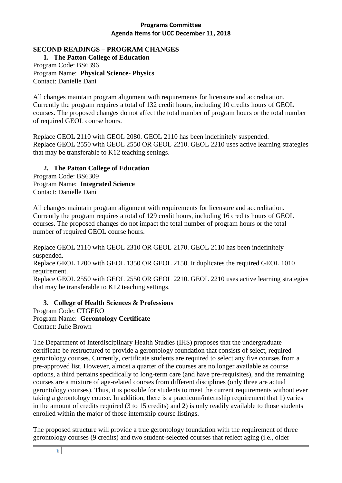## **SECOND READINGS – PROGRAM CHANGES**

**1. The Patton College of Education** Program Code: BS6396 Program Name: **Physical Science- Physics** Contact: Danielle Dani

All changes maintain program alignment with requirements for licensure and accreditation. Currently the program requires a total of 132 credit hours, including 10 credits hours of GEOL courses. The proposed changes do not affect the total number of program hours or the total number of required GEOL course hours.

Replace GEOL 2110 with GEOL 2080. GEOL 2110 has been indefinitely suspended. Replace GEOL 2550 with GEOL 2550 OR GEOL 2210. GEOL 2210 uses active learning strategies that may be transferable to K12 teaching settings.

### **2. The Patton College of Education**

Program Code: BS6309 Program Name: **Integrated Science** Contact: Danielle Dani

All changes maintain program alignment with requirements for licensure and accreditation. Currently the program requires a total of 129 credit hours, including 16 credits hours of GEOL courses. The proposed changes do not impact the total number of program hours or the total number of required GEOL course hours.

Replace GEOL 2110 with GEOL 2310 OR GEOL 2170. GEOL 2110 has been indefinitely suspended.

Replace GEOL 1200 with GEOL 1350 OR GEOL 2150. It duplicates the required GEOL 1010 requirement.

Replace GEOL 2550 with GEOL 2550 OR GEOL 2210. GEOL 2210 uses active learning strategies that may be transferable to K12 teaching settings.

# **3. College of Health Sciences & Professions**

Program Code: CTGERO Program Name: **Gerontology Certificate** Contact: Julie Brown

The Department of Interdisciplinary Health Studies (IHS) proposes that the undergraduate certificate be restructured to provide a gerontology foundation that consists of select, required gerontology courses. Currently, certificate students are required to select any five courses from a pre-approved list. However, almost a quarter of the courses are no longer available as course options, a third pertains specifically to long-term care (and have pre-requisites), and the remaining courses are a mixture of age-related courses from different disciplines (only three are actual gerontology courses). Thus, it is possible for students to meet the current requirements without ever taking a gerontology course. In addition, there is a practicum/internship requirement that 1) varies in the amount of credits required (3 to 15 credits) and 2) is only readily available to those students enrolled within the major of those internship course listings.

The proposed structure will provide a true gerontology foundation with the requirement of three gerontology courses (9 credits) and two student-selected courses that reflect aging (i.e., older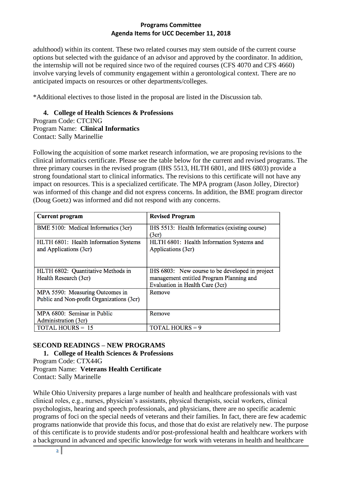adulthood) within its content. These two related courses may stem outside of the current course options but selected with the guidance of an advisor and approved by the coordinator. In addition, the internship will not be required since two of the required courses (CFS 4070 and CFS 4660) involve varying levels of community engagement within a gerontological context. There are no anticipated impacts on resources or other departments/colleges.

\*Additional electives to those listed in the proposal are listed in the Discussion tab.

### **4. College of Health Sciences & Professions**

Program Code: CTCING Program Name: **Clinical Informatics**

Contact: Sally Marinellie

Following the acquisition of some market research information, we are proposing revisions to the clinical informatics certificate. Please see the table below for the current and revised programs. The three primary courses in the revised program (IHS 5513, HLTH 6801, and IHS 6803) provide a strong foundational start to clinical informatics. The revisions to this certificate will not have any impact on resources. This is a specialized certificate. The MPA program (Jason Jolley, Director) was informed of this change and did not express concerns. In addition, the BME program director (Doug Goetz) was informed and did not respond with any concerns.

| <b>Current program</b>                                                       | <b>Revised Program</b>                                                                                                         |
|------------------------------------------------------------------------------|--------------------------------------------------------------------------------------------------------------------------------|
| BME 5100: Medical Informatics (3cr)                                          | IHS 5513: Health Informatics (existing course)<br>(3cr)                                                                        |
| HLTH 6801: Health Information Systems<br>and Applications (3cr)              | HLTH 6801: Health Information Systems and<br>Applications (3cr)                                                                |
| HLTH 6802: Quantitative Methods in<br>Health Research (3cr)                  | IHS 6803: New course to be developed in project<br>management entitled Program Planning and<br>Evaluation in Health Care (3cr) |
| MPA 5590: Measuring Outcomes in<br>Public and Non-profit Organizations (3cr) | Remove                                                                                                                         |
| MPA 6800: Seminar in Public<br>Administration (3cr)                          | Remove                                                                                                                         |
| <b>TOTAL HOURS = 15</b>                                                      | <b>TOTAL HOURS = 9</b>                                                                                                         |

# **SECOND READINGS – NEW PROGRAMS**

**1. College of Health Sciences & Professions** Program Code: CTX44G Program Name: **Veterans Health Certificate**

Contact: Sally Marinelle

While Ohio University prepares a large number of health and healthcare professionals with vast clinical roles, e.g., nurses, physician's assistants, physical therapists, social workers, clinical psychologists, hearing and speech professionals, and physicians, there are no specific academic programs of foci on the special needs of veterans and their families. In fact, there are few academic programs nationwide that provide this focus, and those that do exist are relatively new. The purpose of this certificate is to provide students and/or post-professional health and healthcare workers with a background in advanced and specific knowledge for work with veterans in health and healthcare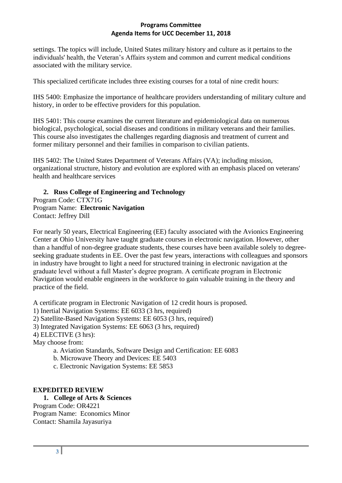settings. The topics will include, United States military history and culture as it pertains to the individuals' health, the Veteran's Affairs system and common and current medical conditions associated with the military service.

This specialized certificate includes three existing courses for a total of nine credit hours:

IHS 5400: Emphasize the importance of healthcare providers understanding of military culture and history, in order to be effective providers for this population.

IHS 5401: This course examines the current literature and epidemiological data on numerous biological, psychological, social diseases and conditions in military veterans and their families. This course also investigates the challenges regarding diagnosis and treatment of current and former military personnel and their families in comparison to civilian patients.

IHS 5402: The United States Department of Veterans Affairs (VA); including mission, organizational structure, history and evolution are explored with an emphasis placed on veterans' health and healthcare services

# **2. Russ College of Engineering and Technology**

Program Code: CTX71G Program Name: **Electronic Navigation** Contact: Jeffrey Dill

For nearly 50 years, Electrical Engineering (EE) faculty associated with the Avionics Engineering Center at Ohio University have taught graduate courses in electronic navigation. However, other than a handful of non-degree graduate students, these courses have been available solely to degreeseeking graduate students in EE. Over the past few years, interactions with colleagues and sponsors in industry have brought to light a need for structured training in electronic navigation at the graduate level without a full Master's degree program. A certificate program in Electronic Navigation would enable engineers in the workforce to gain valuable training in the theory and practice of the field.

A certificate program in Electronic Navigation of 12 credit hours is proposed.

- 1) Inertial Navigation Systems: EE 6033 (3 hrs, required)
- 2) Satellite-Based Navigation Systems: EE 6053 (3 hrs, required)
- 3) Integrated Navigation Systems: EE 6063 (3 hrs, required)
- 4) ELECTIVE (3 hrs):

May choose from:

- a. Aviation Standards, Software Design and Certification: EE 6083
- b. Microwave Theory and Devices: EE 5403
- c. Electronic Navigation Systems: EE 5853

# **EXPEDITED REVIEW**

#### **1. College of Arts & Sciences**

Program Code: OR4221 Program Name: Economics Minor Contact: Shamila Jayasuriya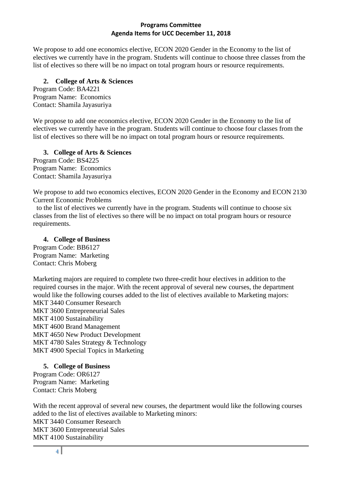We propose to add one economics elective, ECON 2020 Gender in the Economy to the list of electives we currently have in the program. Students will continue to choose three classes from the list of electives so there will be no impact on total program hours or resource requirements.

## **2. College of Arts & Sciences**

Program Code: BA4221 Program Name: Economics Contact: Shamila Jayasuriya

We propose to add one economics elective, ECON 2020 Gender in the Economy to the list of electives we currently have in the program. Students will continue to choose four classes from the list of electives so there will be no impact on total program hours or resource requirements.

### **3. College of Arts & Sciences**

Program Code: BS4225 Program Name: Economics Contact: Shamila Jayasuriya

We propose to add two economics electives, ECON 2020 Gender in the Economy and ECON 2130 Current Economic Problems

 to the list of electives we currently have in the program. Students will continue to choose six classes from the list of electives so there will be no impact on total program hours or resource requirements.

#### **4. College of Business**

Program Code: BB6127 Program Name: Marketing Contact: Chris Moberg

Marketing majors are required to complete two three-credit hour electives in addition to the required courses in the major. With the recent approval of several new courses, the department would like the following courses added to the list of electives available to Marketing majors: MKT 3440 Consumer Research MKT 3600 Entrepreneurial Sales MKT 4100 Sustainability MKT 4600 Brand Management MKT 4650 New Product Development MKT 4780 Sales Strategy & Technology MKT 4900 Special Topics in Marketing

# **5. College of Business**

Program Code: OR6127 Program Name: Marketing Contact: Chris Moberg

With the recent approval of several new courses, the department would like the following courses added to the list of electives available to Marketing minors: MKT 3440 Consumer Research MKT 3600 Entrepreneurial Sales MKT 4100 Sustainability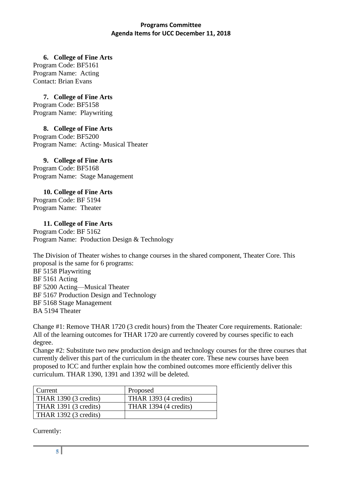**6. College of Fine Arts**

Program Code: BF5161 Program Name: Acting Contact: Brian Evans

**7. College of Fine Arts**

Program Code: BF5158 Program Name: Playwriting

**8. College of Fine Arts** Program Code: BF5200

Program Name: Acting- Musical Theater

# **9. College of Fine Arts**

Program Code: BF5168 Program Name: Stage Management

**10. College of Fine Arts** Program Code: BF 5194 Program Name: Theater

# **11. College of Fine Arts**

Program Code: BF 5162 Program Name: Production Design & Technology

The Division of Theater wishes to change courses in the shared component, Theater Core. This proposal is the same for 6 programs: BF 5158 Playwriting BF 5161 Acting BF 5200 Acting—Musical Theater BF 5167 Production Design and Technology BF 5168 Stage Management BA 5194 Theater

Change #1: Remove THAR 1720 (3 credit hours) from the Theater Core requirements. Rationale: All of the learning outcomes for THAR 1720 are currently covered by courses specific to each degree.

Change #2: Substitute two new production design and technology courses for the three courses that currently deliver this part of the curriculum in the theater core. These new courses have been proposed to ICC and further explain how the combined outcomes more efficiently deliver this curriculum. THAR 1390, 1391 and 1392 will be deleted.

| Current                      | Proposed              |
|------------------------------|-----------------------|
| THAR 1390 (3 credits)        | THAR 1393 (4 credits) |
| <b>THAR 1391 (3 credits)</b> | THAR 1394 (4 credits) |
| <b>THAR 1392 (3 credits)</b> |                       |

Currently: